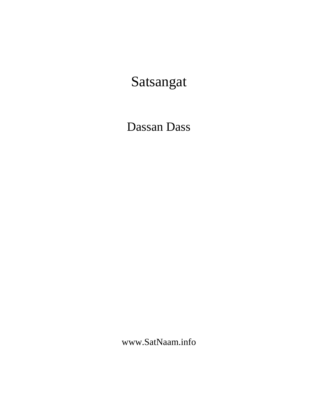# Satsangat

# Dassan Dass

www.SatNaam.info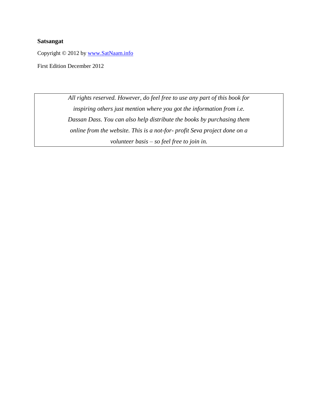#### **Satsangat**

Copyright © 2012 by [www.SatNaam.info](http://www.satnaam.info/)

First Edition December 2012

*All rights reserved. However, do feel free to use any part of this book for inspiring others just mention where you got the information from i.e. Dassan Dass. You can also help distribute the books by purchasing them online from the website. This is a not-for- profit Seva project done on a volunteer basis – so feel free to join in.*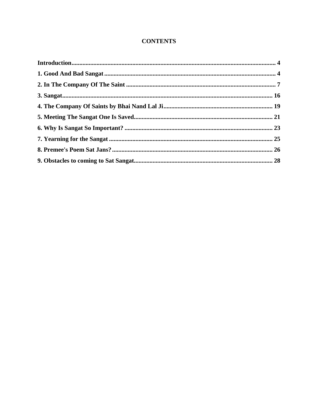#### **CONTENTS**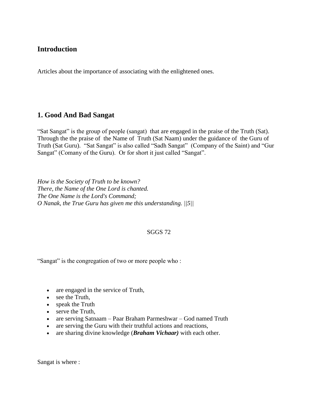#### <span id="page-3-0"></span>**Introduction**

Articles about the importance of associating with the enlightened ones.

#### <span id="page-3-1"></span>**1. Good And Bad Sangat**

"Sat Sangat" is the group of people (sangat) that are engaged in the praise of the Truth (Sat). Through the the praise of the Name of Truth (Sat Naam) under the guidance of the Guru of Truth (Sat Guru). "Sat Sangat" is also called "Sadh Sangat" (Company of the Saint) and "Gur Sangat" (Comany of the Guru). Or for short it just called "Sangat".

*How is the Society of Truth to be known? There, the Name of the One Lord is chanted. The One Name is the Lord's Command; O Nanak, the True Guru has given me this understanding. ||5||*

#### SGGS 72

"Sangat" is the congregation of two or more people who :

- are engaged in the service of Truth,
- see the Truth,
- speak the Truth
- serve the Truth,
- are serving Satnaam Paar Braham Parmeshwar God named Truth
- are serving the Guru with their truthful actions and reactions,
- are sharing divine knowledge (*Braham Vichaar)* with each other.

Sangat is where :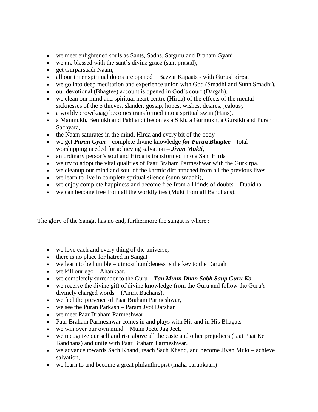- we meet enlightened souls as Sants, Sadhs, Satguru and Braham Gyani
- we are blessed with the sant's divine grace (sant prasad),
- get Gurparsaadi Naam,
- all our inner spiritual doors are opened Bazzar Kapaats with Gurus' kirpa,
- we go into deep meditation and experience union with God (Smadhi and Sunn Smadhi),
- our devotional (Bhagtee) account is opened in God's court (Dargah),
- we clean our mind and spiritual heart centre (Hirda) of the effects of the mental sicknesses of the 5 thieves, slander, gossip, hopes, wishes, desires, jealousy
- a worldy crow(kaag) becomes transformed into a spritual swan (Hans),
- a Manmukh, Bemukh and Pakhandi becomes a Sikh, a Gurmukh, a Gursikh and Puran Sachyara,
- the Naam saturates in the mind, Hirda and every bit of the body
- we get *Puran Gyan* complete divine knowledge *for Puran Bhagtee* total worshipping needed for achieving salvation *– Jivan Mukti*,
- an ordinary person's soul and Hirda is transformed into a Sant Hirda
- we try to adopt the vital qualities of Paar Braham Parmeshwar with the Gurkirpa.
- we cleanup our mind and soul of the karmic dirt attached from all the previous lives,
- we learn to live in complete spritual silence (sunn smadhi),
- we enjoy complete happiness and become free from all kinds of doubts Dubidha
- we can become free from all the worldly ties (Mukt from all Bandhans).

The glory of the Sangat has no end, furthermore the sangat is where :

- we love each and every thing of the universe,
- there is no place for hatred in Sangat
- $\bullet$  we learn to be humble utmost humbleness is the key to the Dargah
- we kill our ego Ahankaar,
- we completely surrender to the Guru *– Tan Munn Dhan Sabh Saup Guru Ko*.
- we receive the divine gift of divine knowledge from the Guru and follow the Guru's divinely charged words – (Amrit Bachans),
- we feel the presence of Paar Braham Parmeshwar,
- we see the Puran Parkash Param Jyot Darshan
- we meet Paar Braham Parmeshwar
- Paar Braham Parmeshwar comes in and plays with His and in His Bhagats
- we win over our own mind Munn Jeete Jag Jeet,
- we recognize our self and rise above all the caste and other prejudices (Jaat Paat Ke Bandhans) and unite with Paar Braham Parmeshwar.
- we advance towards Sach Khand, reach Sach Khand, and become Jivan Mukt achieve salvation,
- we learn to and become a great philanthropist (maha parupkaari)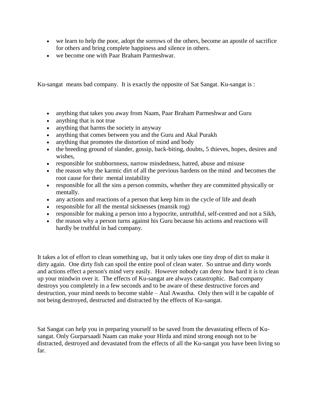- we learn to help the poor, adopt the sorrows of the others, become an apostle of sacrifice for others and bring complete happiness and silence in others.
- we become one with Paar Braham Parmeshwar.

Ku-sangat means bad company. It is exactly the opposite of Sat Sangat. Ku-sangat is :

- anything that takes you away from Naam, Paar Braham Parmeshwar and Guru
- anything that is not true
- anything that harms the society in anyway
- anything that comes between you and the Guru and Akal Purakh
- anything that promotes the distortion of mind and body
- the breeding ground of slander, gossip, back-biting, doubts, 5 thieves, hopes, desires and wishes,
- responsible for stubbornness, narrow mindedness, hatred, abuse and misuse
- the reason why the karmic dirt of all the previous hardens on the mind and becomes the root cause for their mental instability
- responsible for all the sins a person commits, whether they are committed physically or mentally.
- any actions and reactions of a person that keep him in the cycle of life and death
- responsible for all the mental sicknesses (mansik rog)
- responsible for making a person into a hypocrite, untruthful, self-centred and not a Sikh,
- the reason why a person turns against his Guru because his actions and reactions will hardly be truthful in bad company.

It takes a lot of effort to clean something up, but it only takes one tiny drop of dirt to make it dirty again. One dirty fish can spoil the entire pool of clean water. So untrue and dirty words and actions effect a person's mind very easily. However nobody can deny how hard it is to clean up your mindwin over it. The effects of Ku-sangat are always catastrophic. Bad company destroys you completely in a few seconds and to be aware of these destructive forces and destruction, your mind needs to become stable – Atal Awastha. Only then will it be capable of not being destroyed, destructed and distracted by the effects of Ku-sangat.

Sat Sangat can help you in preparing yourself to be saved from the devastating effects of Kusangat. Only Gurparsaadi Naam can make your Hirda and mind strong enough not to be distracted, destroyed and devastated from the effects of all the Ku-sangat you have been living so far.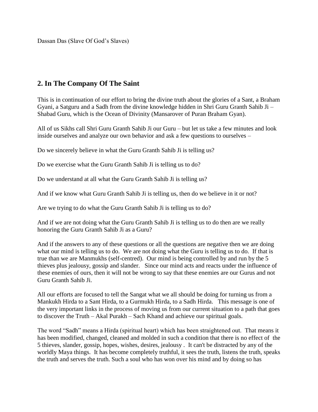Dassan Das (Slave Of God's Slaves)

#### <span id="page-6-0"></span>**2. In The Company Of The Saint**

This is in continuation of our effort to bring the divine truth about the glories of a Sant, a Braham Gyani, a Satguru and a Sadh from the divine knowledge hidden in Shri Guru Granth Sahib Ji – Shabad Guru, which is the Ocean of Divinity (Mansarover of Puran Braham Gyan).

All of us Sikhs call Shri Guru Granth Sahib Ji our Guru – but let us take a few minutes and look inside ourselves and analyze our own behavior and ask a few questions to ourselves –

Do we sincerely believe in what the Guru Granth Sahib Ji is telling us?

Do we exercise what the Guru Granth Sahib Ji is telling us to do?

Do we understand at all what the Guru Granth Sahib Ji is telling us?

And if we know what Guru Granth Sahib Ji is telling us, then do we believe in it or not?

Are we trying to do what the Guru Granth Sahib Ji is telling us to do?

And if we are not doing what the Guru Granth Sahib Ji is telling us to do then are we really honoring the Guru Granth Sahib Ji as a Guru?

And if the answers to any of these questions or all the questions are negative then we are doing what our mind is telling us to do. We are not doing what the Guru is telling us to do. If that is true than we are Manmukhs (self-centred). Our mind is being controlled by and run by the 5 thieves plus jealousy, gossip and slander. Since our mind acts and reacts under the influence of these enemies of ours, then it will not be wrong to say that these enemies are our Gurus and not Guru Granth Sahib Ji.

All our efforts are focused to tell the Sangat what we all should be doing for turning us from a Mankukh Hirda to a Sant Hirda, to a Gurmukh Hirda, to a Sadh Hirda. This message is one of the very important links in the process of moving us from our current situation to a path that goes to discover the Truth – Akal Purakh – Sach Khand and achieve our spiritual goals.

The word "Sadh" means a Hirda (spiritual heart) which has been straightened out. That means it has been modified, changed, cleaned and molded in such a condition that there is no effect of the 5 thieves, slander, gossip, hopes, wishes, desires, jealousy . It can't be distracted by any of the worldly Maya things. It has become completely truthful, it sees the truth, listens the truth, speaks the truth and serves the truth. Such a soul who has won over his mind and by doing so has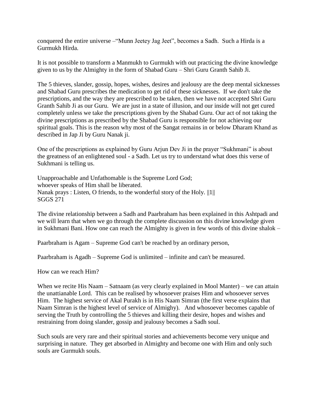conquered the entire universe –"Munn Jeetey Jag Jeet", becomes a Sadh. Such a Hirda is a Gurmukh Hirda.

It is not possible to transform a Manmukh to Gurmukh with out practicing the divine knowledge given to us by the Almighty in the form of Shabad Guru – Shri Guru Granth Sahib Ji.

The 5 thieves, slander, gossip, hopes, wishes, desires and jealousy are the deep mental sicknesses and Shabad Guru prescribes the medication to get rid of these sicknesses. If we don't take the prescriptions, and the way they are prescribed to be taken, then we have not accepted Shri Guru Granth Sahib Ji as our Guru. We are just in a state of illusion, and our inside will not get cured completely unless we take the prescriptions given by the Shabad Guru. Our act of not taking the divine prescriptions as prescribed by the Shabad Guru is responsible for not achieving our spiritual goals. This is the reason why most of the Sangat remains in or below Dharam Khand as described in Jap Ji by Guru Nanak ji.

One of the prescriptions as explained by Guru Arjun Dev Ji in the prayer "Sukhmani" is about the greatness of an enlightened soul - a Sadh. Let us try to understand what does this verse of Sukhmani is telling us.

Unapproachable and Unfathomable is the Supreme Lord God; whoever speaks of Him shall be liberated. Nanak prays : Listen, O friends, to the wonderful story of the Holy. ||1|| SGGS 271

The divine relationship between a Sadh and Paarbraham has been explained in this Ashtpadi and we will learn that when we go through the complete discussion on this divine knowledge given in Sukhmani Bani. How one can reach the Almighty is given in few words of this divine shalok –

Paarbraham is Agam – Supreme God can't be reached by an ordinary person,

Paarbraham is Agadh – Supreme God is unlimited – infinite and can't be measured.

How can we reach Him?

When we recite His Naam – Satnaam (as very clearly explained in Mool Manter) – we can attain the unattianable Lord. This can be realised by whosoever praises Him and whosoever serves Him. The highest service of Akal Purakh is in His Naam Simran (the first verse explains that Naam Simran is the highest level of service of Almighy). And whosoever becomes capable of serving the Truth by controlling the 5 thieves and killing their desire, hopes and wishes and restraining from doing slander, gossip and jealousy becomes a Sadh soul.

Such souls are very rare and their spiritual stories and achievements become very unique and surprising in nature. They get absorbed in Almighty and become one with Him and only such souls are Gurmukh souls.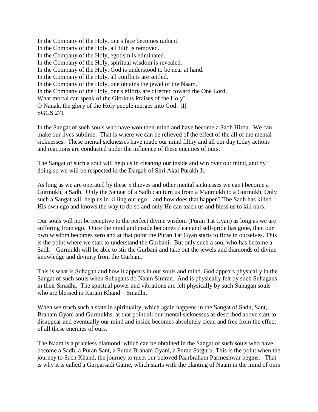In the Company of the Holy, one's face becomes radiant. In the Company of the Holy, all filth is removed. In the Company of the Holy, egotism is eliminated. In the Company of the Holy, spiritual wisdom is revealed. In the Company of the Holy, God is understood to be near at hand. In the Company of the Holy, all conflicts are settled. In the Company of the Holy, one obtains the jewel of the Naam. In the Company of the Holy, one's efforts are directed toward the One Lord. What mortal can speak of the Glorious Praises of the Holy? O Nanak, the glory of the Holy people merges into God. ||1|| SGGS 271

In the Sangat of such souls who have won their mind and have become a Sadh Hirda. We can make our lives sublime. That is where we can be relieved of the effect of the all of the mental sicknesses. These mental sicknesses have made our mind filthy and all our day today actions and reactions are conducted under the influence of these enemies of ours.

The Sangat of such a soul will help us in cleaning our inside and win over our mind, and by doing so we will be respected in the Dargah of Shri Akal Purakh Ji.

As long as we are operated by these 5 thieves and other mental sicknesses we can't become a Gurmukh, a Sadh. Only the Sangat of a Sadh can turn us from a Manmukh to a Gurmukh. Only such a Sangat will help us in killing our ego – and how does that happen? The Sadh has killed His own ego and knows the way to do so and only He can teach us and bless us to kill ours.

Our souls will not be receptive to the perfect divine wisdom (Puran Tat Gyan) as long as we are suffering from ego. Once the mind and inside becomes clean and self-pride has gone, then our own wisdom becomes zero and at that point the Puran Tat Gyan starts to flow in ourselves. This is the point where we start to understand the Gurbani. But only such a soul who has become a Sadh – Gurmukh will be able to stir the Gurbani and take out the jewels and diamonds of divine knowledge and divinity from the Gurbani.

This is what is Suhagan and how it appears in our souls and mind. God appears physically in the Sangat of such souls when Suhagans do Naam Simran. And is physically felt by such Suhagans in their Smadhi. The spiritual power and vibrations are felt physically by such Suhagan souls who are blessed in Karam Khand – Smadhi.

When we reach such a state in spirituality, which again happens in the Sangat of Sadh, Sant, Braham Gyani and Gurmukhs, at that point all our mental sicknesses as described above start to disappear and eventually our mind and inside becomes absolutely clean and free from the effect of all these enemies of ours.

The Naam is a priceless diamond, which can be obtained in the Sangat of such souls who have become a Sadh, a Puran Sant, a Puran Braham Gyani, a Puran Satguru. This is the point when the journey to Sach Khand, the journey to meet our beloved Paarbraham Parmeshwar begins. That is why it is called a Gurparsadi Game, which starts with the planting of Naam in the mind of ours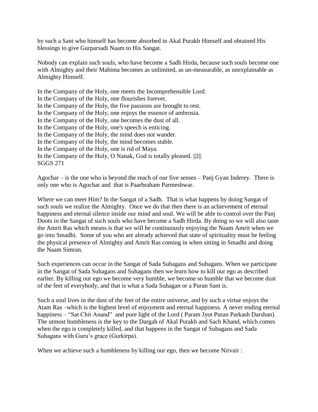by such a Sant who himself has become absorbed in Akal Purakh Himself and obtained His blessings to give Gurparsadi Naam to His Sangat.

Nobody can explain such souls, who have become a Sadh Hirda, because such souls become one with Almighty and their Mahima becomes as unlimited, as un-measurable, as unexplainable as Almighty Himself.

In the Company of the Holy, one meets the Incomprehensible Lord. In the Company of the Holy, one flourishes forever. In the Company of the Holy, the five passions are brought to rest. In the Company of the Holy, one enjoys the essence of ambrosia. In the Company of the Holy, one becomes the dust of all. In the Company of the Holy, one's speech is enticing. In the Company of the Holy, the mind does not wander. In the Company of the Holy, the mind becomes stable. In the Company of the Holy, one is rid of Maya. In the Company of the Holy, O Nanak, God is totally pleased. ||2|| SGGS 271

Agochar – is the one who is beyond the reach of our five senses – Panj Gyan Inderey. There is only one who is Agochar and that is Paarbraham Parmeshwar.

Where we can meet Him? In the Sangat of a Sadh. That is what happens by doing Sangat of such souls we realize the Almighty. Once we do that then there is an achievement of eternal happiness and eternal silence inside our mind and soul. We will be able to control over the Panj Doots in the Sangat of such souls who have become a Sadh Hirda. By doing so we will also taste the Amrit Ras which means is that we will be continuously enjoying the Naam Amrit when we go into Smadhi. Some of you who are already achieved that state of spirituality must be feeling the physical presence of Almighty and Amrit Ras coming in when sitting in Smadhi and doing the Naam Simran.

Such experiences can occur in the Sangat of Sada Suhagans and Suhagans. When we participate in the Sangat of Sada Suhagans and Suhagans then we learn how to kill our ego as described earlier. By killing our ego we become very humble, we become so humble that we become dust of the feet of everybody, and that is what a Sada Suhagan or a Puran Sant is.

Such a soul lives in the dust of the feet of the entire universe, and by such a virtue enjoys the Atam Ras –which is the highest level of enjoyment and eternal happiness. A never ending eternal happiness – "Sat Chit Anand" and pure light of the Lord ( Param Jyot Puran Parkash Darshan). The utmost humbleness is the key to the Dargah of Akal Purakh and Sach Khand, which comes when the ego is completely killed, and that happens in the Sangat of Suhagans and Sada Suhagans with Guru's grace (Gurkirpa).

When we achieve such a humbleness by killing our ego, then we become Nirvair :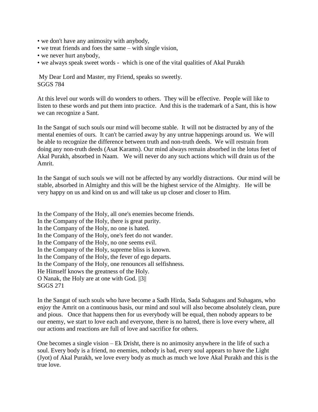- we don't have any animosity with anybody,
- we treat friends and foes the same with single vision,
- we never hurt anybody,
- we always speak sweet words which is one of the vital qualities of Akal Purakh

My Dear Lord and Master, my Friend, speaks so sweetly. SGGS 784

At this level our words will do wonders to others. They will be effective. People will like to listen to these words and put them into practice. And this is the trademark of a Sant, this is how we can recognize a Sant.

In the Sangat of such souls our mind will become stable. It will not be distracted by any of the mental enemies of ours. It can't be carried away by any untrue happenings around us. We will be able to recognize the difference between truth and non-truth deeds. We will restrain from doing any non-truth deeds (Asat Karams). Our mind always remain absorbed in the lotus feet of Akal Purakh, absorbed in Naam. We will never do any such actions which will drain us of the Amrit.

In the Sangat of such souls we will not be affected by any worldly distractions. Our mind will be stable, absorbed in Almighty and this will be the highest service of the Almighty. He will be very happy on us and kind on us and will take us up closer and closer to Him.

In the Company of the Holy, all one's enemies become friends. In the Company of the Holy, there is great purity. In the Company of the Holy, no one is hated. In the Company of the Holy, one's feet do not wander. In the Company of the Holy, no one seems evil. In the Company of the Holy, supreme bliss is known. In the Company of the Holy, the fever of ego departs. In the Company of the Holy, one renounces all selfishness. He Himself knows the greatness of the Holy. O Nanak, the Holy are at one with God. ||3|| SGGS 271

In the Sangat of such souls who have become a Sadh Hirda, Sada Suhagans and Suhagans, who enjoy the Amrit on a continuous basis, our mind and soul will also become absolutely clean, pure and pious. Once that happens then for us everybody will be equal, then nobody appears to be our enemy, we start to love each and everyone, there is no hatred, there is love every where, all our actions and reactions are full of love and sacrifice for others.

One becomes a single vision – Ek Drisht, there is no animosity anywhere in the life of such a soul. Every body is a friend, no enemies, nobody is bad, every soul appears to have the Light (Jyot) of Akal Purakh, we love every body as much as much we love Akal Purakh and this is the true love.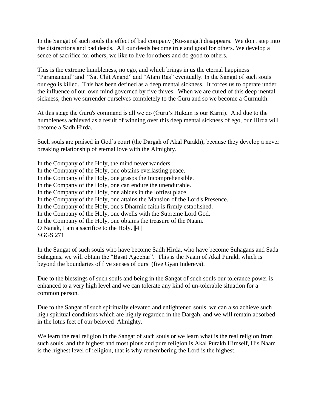In the Sangat of such souls the effect of bad company (Ku-sangat) disappears. We don't step into the distractions and bad deeds. All our deeds become true and good for others. We develop a sence of sacrifice for others, we like to live for others and do good to others.

This is the extreme humbleness, no ego, and which brings in us the eternal happiness – "Paramanand" and "Sat Chit Anand" and "Atam Ras" eventually. In the Sangat of such souls our ego is killed. This has been defined as a deep mental sickness. It forces us to operate under the influence of our own mind governed by five thives. When we are cured of this deep mental sickness, then we surrender ourselves completely to the Guru and so we become a Gurmukh.

At this stage the Guru's command is all we do (Guru's Hukam is our Karni). And due to the humbleness achieved as a result of winning over this deep mental sickness of ego, our Hirda will become a Sadh Hirda.

Such souls are praised in God's court (the Dargah of Akal Purakh), because they develop a never breaking relationship of eternal love with the Almighty.

In the Company of the Holy, the mind never wanders. In the Company of the Holy, one obtains everlasting peace. In the Company of the Holy, one grasps the Incomprehensible. In the Company of the Holy, one can endure the unendurable. In the Company of the Holy, one abides in the loftiest place. In the Company of the Holy, one attains the Mansion of the Lord's Presence. In the Company of the Holy, one's Dharmic faith is firmly established. In the Company of the Holy, one dwells with the Supreme Lord God. In the Company of the Holy, one obtains the treasure of the Naam. O Nanak, I am a sacrifice to the Holy. ||4|| SGGS 271

In the Sangat of such souls who have become Sadh Hirda, who have become Suhagans and Sada Suhagans, we will obtain the "Basat Agochar". This is the Naam of Akal Purakh which is beyond the boundaries of five senses of ours (five Gyan Indereys).

Due to the blessings of such souls and being in the Sangat of such souls our tolerance power is enhanced to a very high level and we can tolerate any kind of un-tolerable situation for a common person.

Due to the Sangat of such spiritually elevated and enlightened souls, we can also achieve such high spiritual conditions which are highly regarded in the Dargah, and we will remain absorbed in the lotus feet of our beloved Almighty.

We learn the real religion in the Sangat of such souls or we learn what is the real religion from such souls, and the highest and most pious and pure religion is Akal Purakh Himself, His Naam is the highest level of religion, that is why remembering the Lord is the highest.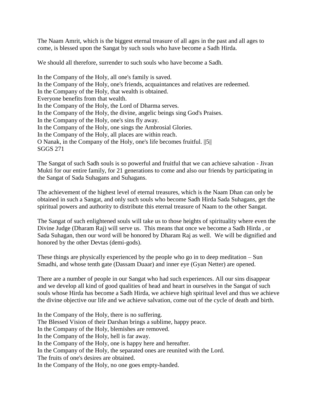The Naam Amrit, which is the biggest eternal treasure of all ages in the past and all ages to come, is blessed upon the Sangat by such souls who have become a Sadh Hirda.

We should all therefore, surrender to such souls who have become a Sadh.

In the Company of the Holy, all one's family is saved. In the Company of the Holy, one's friends, acquaintances and relatives are redeemed. In the Company of the Holy, that wealth is obtained. Everyone benefits from that wealth. In the Company of the Holy, the Lord of Dharma serves. In the Company of the Holy, the divine, angelic beings sing God's Praises. In the Company of the Holy, one's sins fly away. In the Company of the Holy, one sings the Ambrosial Glories. In the Company of the Holy, all places are within reach. O Nanak, in the Company of the Holy, one's life becomes fruitful. ||5|| SGGS 271

The Sangat of such Sadh souls is so powerful and fruitful that we can achieve salvation - Jivan Mukti for our entire family, for 21 generations to come and also our friends by participating in the Sangat of Sada Suhagans and Suhagans.

The achievement of the highest level of eternal treasures, which is the Naam Dhan can only be obtained in such a Sangat, and only such souls who become Sadh Hirda Sada Suhagans, get the spiritual powers and authority to distribute this eternal treasure of Naam to the other Sangat.

The Sangat of such enlightened souls will take us to those heights of spirituality where even the Divine Judge (Dharam Raj) will serve us. This means that once we become a Sadh Hirda , or Sada Suhagan, then our word will be honored by Dharam Raj as well. We will be dignified and honored by the other Devtas (demi-gods).

These things are physically experienced by the people who go in to deep meditation – Sun Smadhi, and whose tenth gate (Dassam Duaar) and inner eye (Gyan Netter) are opened.

There are a number of people in our Sangat who had such experiences. All our sins disappear and we develop all kind of good qualities of head and heart in ourselves in the Sangat of such souls whose Hirda has become a Sadh Hirda, we achieve high spiritual level and thus we achieve the divine objective our life and we achieve salvation, come out of the cycle of death and birth.

In the Company of the Holy, there is no suffering. The Blessed Vision of their Darshan brings a sublime, happy peace. In the Company of the Holy, blemishes are removed. In the Company of the Holy, hell is far away. In the Company of the Holy, one is happy here and hereafter. In the Company of the Holy, the separated ones are reunited with the Lord. The fruits of one's desires are obtained. In the Company of the Holy, no one goes empty-handed.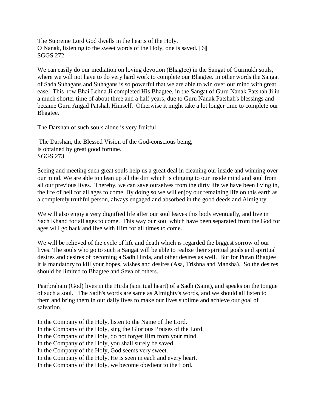The Supreme Lord God dwells in the hearts of the Holy. O Nanak, listening to the sweet words of the Holy, one is saved. ||6|| SGGS 272

We can easily do our mediation on loving devotion (Bhagtee) in the Sangat of Gurmukh souls, where we will not have to do very hard work to complete our Bhagtee. In other words the Sangat of Sada Suhagans and Suhagans is so powerful that we are able to win over our mind with great ease. This how Bhai Lehna Ji completed His Bhagtee, in the Sangat of Guru Nanak Patshah Ji in a much shorter time of about three and a half years, due to Guru Nanak Patshah's blessings and became Guru Angad Patshah Himself. Otherwise it might take a lot longer time to complete our Bhagtee.

The Darshan of such souls alone is very fruitful –

The Darshan, the Blessed Vision of the God-conscious being, is obtained by great good fortune. SGGS 273

Seeing and meeting such great souls help us a great deal in cleaning our inside and winning over our mind. We are able to clean up all the dirt which is clinging to our inside mind and soul from all our previous lives. Thereby, we can save ourselves from the dirty life we have been living in, the life of hell for all ages to come. By doing so we will enjoy our remaining life on this earth as a completely truthful person, always engaged and absorbed in the good deeds and Almighty.

We will also enjoy a very dignified life after our soul leaves this body eventually, and live in Sach Khand for all ages to come. This way our soul which have been separated from the God for ages will go back and live with Him for all times to come.

We will be relieved of the cycle of life and death which is regarded the biggest sorrow of our lives. The souls who go to such a Sangat will be able to realize their spiritual goals and spiritual desires and desires of becoming a Sadh Hirda, and other desires as well. But for Puran Bhagtee it is mandatory to kill your hopes, wishes and desires (Asa, Trishna and Mansha). So the desires should be limited to Bhagtee and Seva of others.

Paarbraham (God) lives in the Hirda (spiritual heart) of a Sadh (Saint), and speaks on the tongue of such a soul. The Sadh's words are same as Almighty's words, and we should all listen to them and bring them in our daily lives to make our lives sublime and achieve our goal of salvation.

In the Company of the Holy, listen to the Name of the Lord. In the Company of the Holy, sing the Glorious Praises of the Lord. In the Company of the Holy, do not forget Him from your mind. In the Company of the Holy, you shall surely be saved. In the Company of the Holy, God seems very sweet. In the Company of the Holy, He is seen in each and every heart. In the Company of the Holy, we become obedient to the Lord.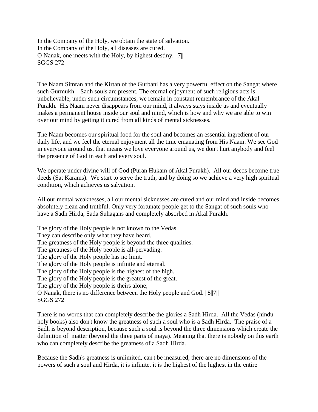In the Company of the Holy, we obtain the state of salvation. In the Company of the Holy, all diseases are cured. O Nanak, one meets with the Holy, by highest destiny. ||7|| SGGS 272

The Naam Simran and the Kirtan of the Gurbani has a very powerful effect on the Sangat where such Gurmukh – Sadh souls are present. The eternal enjoyment of such religious acts is unbelievable, under such circumstances, we remain in constant remembrance of the Akal Purakh. His Naam never disappears from our mind, it always stays inside us and eventually makes a permanent house inside our soul and mind, which is how and why we are able to win over our mind by getting it cured from all kinds of mental sicknesses.

The Naam becomes our spiritual food for the soul and becomes an essential ingredient of our daily life, and we feel the eternal enjoyment all the time emanating from His Naam. We see God in everyone around us, that means we love everyone around us, we don't hurt anybody and feel the presence of God in each and every soul.

We operate under divine will of God (Puran Hukam of Akal Purakh). All our deeds become true deeds (Sat Karams). We start to serve the truth, and by doing so we achieve a very high spiritual condition, which achieves us salvation.

All our mental weaknesses, all our mental sicknesses are cured and our mind and inside becomes absolutely clean and truthful. Only very fortunate people get to the Sangat of such souls who have a Sadh Hirda, Sada Suhagans and completely absorbed in Akal Purakh.

The glory of the Holy people is not known to the Vedas. They can describe only what they have heard. The greatness of the Holy people is beyond the three qualities. The greatness of the Holy people is all-pervading. The glory of the Holy people has no limit. The glory of the Holy people is infinite and eternal. The glory of the Holy people is the highest of the high. The glory of the Holy people is the greatest of the great. The glory of the Holy people is theirs alone; O Nanak, there is no difference between the Holy people and God. ||8||7|| SGGS 272

There is no words that can completely describe the glories a Sadh Hirda. All the Vedas (hindu holy books) also don't know the greatness of such a soul who is a Sadh Hirda. The praise of a Sadh is beyond description, because such a soul is beyond the three dimensions which create the definition of matter (beyond the three parts of maya). Meaning that there is nobody on this earth who can completely describe the greatness of a Sadh Hirda.

Because the Sadh's greatness is unlimited, can't be measured, there are no dimensions of the powers of such a soul and Hirda, it is infinite, it is the highest of the highest in the entire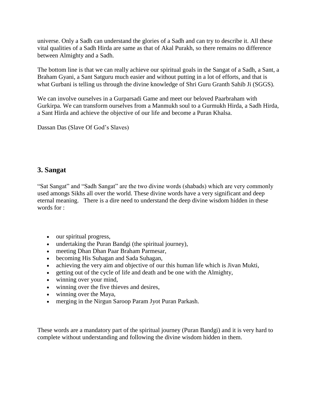universe. Only a Sadh can understand the glories of a Sadh and can try to describe it. All these vital qualities of a Sadh Hirda are same as that of Akal Purakh, so there remains no difference between Almighty and a Sadh.

The bottom line is that we can really achieve our spiritual goals in the Sangat of a Sadh, a Sant, a Braham Gyani, a Sant Satguru much easier and without putting in a lot of efforts, and that is what Gurbani is telling us through the divine knowledge of Shri Guru Granth Sahib Ji (SGGS).

We can involve ourselves in a Gurparsadi Game and meet our beloved Paarbraham with Gurkirpa. We can transform ourselves from a Manmukh soul to a Gurmukh Hirda, a Sadh Hirda, a Sant Hirda and achieve the objective of our life and become a Puran Khalsa.

Dassan Das (Slave Of God's Slaves)

#### <span id="page-15-0"></span>**3. Sangat**

"Sat Sangat" and "Sadh Sangat" are the two divine words (shabads) which are very commonly used amongs Sikhs all over the world. These divine words have a very significant and deep eternal meaning. There is a dire need to understand the deep divine wisdom hidden in these words for :

- our spiritual progress,
- undertaking the Puran Bandgi (the spiritual journey),
- meeting Dhan Dhan Paar Braham Parmesar,
- becoming His Suhagan and Sada Suhagan,
- achieving the very aim and objective of our this human life which is Jivan Mukti,
- getting out of the cycle of life and death and be one with the Almighty,
- winning over your mind,
- winning over the five thieves and desires,
- winning over the Maya,
- merging in the Nirgun Saroop Param Jyot Puran Parkash.

These words are a mandatory part of the spiritual journey (Puran Bandgi) and it is very hard to complete without understanding and following the divine wisdom hidden in them.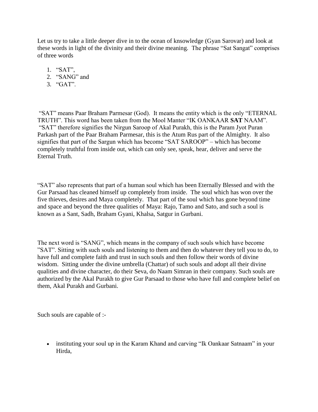Let us try to take a little deeper dive in to the ocean of knsowledge (Gyan Sarovar) and look at these words in light of the divinity and their divine meaning. The phrase "Sat Sangat" comprises of three words

- 1. "SAT",
- 2. "SANG" and
- 3. "GAT".

"SAT" means Paar Braham Parmesar (God). It means the entity which is the only "ETERNAL TRUTH". This word has been taken from the Mool Manter "IK OANKAAR **SAT** NAAM". "SAT" therefore signifies the Nirgun Saroop of Akal Purakh, this is the Param Jyot Puran Parkash part of the Paar Braham Parmesar, this is the Atum Rus part of the Almighty. It also signifies that part of the Sargun which has become "SAT SAROOP" – which has become completely truthful from inside out, which can only see, speak, hear, deliver and serve the Eternal Truth.

"SAT" also represents that part of a human soul which has been Eternally Blessed and with the Gur Parsaad has cleaned himself up completely from inside. The soul which has won over the five thieves, desires and Maya completely. That part of the soul which has gone beyond time and space and beyond the three qualities of Maya: Rajo, Tamo and Sato, and such a soul is known as a Sant, Sadh, Braham Gyani, Khalsa, Satgur in Gurbani.

The next word is "SANG", which means in the company of such souls which have become "SAT". Sitting with such souls and listening to them and then do whatever they tell you to do, to have full and complete faith and trust in such souls and then follow their words of divine wisdom. Sitting under the divine umbrella (Chattar) of such souls and adopt all their divine qualities and divine character, do their Seva, do Naam Simran in their company. Such souls are authorized by the Akal Purakh to give Gur Parsaad to those who have full and complete belief on them, Akal Purakh and Gurbani.

Such souls are capable of :-

• instituting your soul up in the Karam Khand and carving "Ik Oankaar Satnaam" in your Hirda,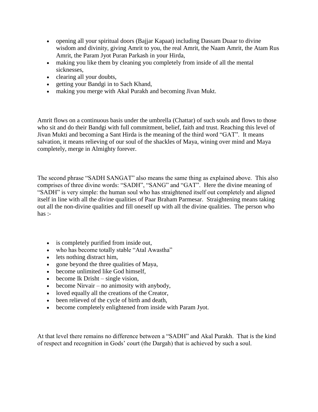- opening all your spiritual doors (Bajjar Kapaat) including Dassam Duaar to divine wisdom and divinity, giving Amrit to you, the real Amrit, the Naam Amrit, the Atam Rus Amrit, the Param Jyot Puran Parkash in your Hirda,
- making you like them by cleaning you completely from inside of all the mental sicknesses,
- clearing all your doubts,
- getting your Bandgi in to Sach Khand,
- making you merge with Akal Purakh and becoming Jivan Mukt.

Amrit flows on a continuous basis under the umbrella (Chattar) of such souls and flows to those who sit and do their Bandgi with full commitment, belief, faith and trust. Reaching this level of Jivan Mukti and becoming a Sant Hirda is the meaning of the third word "GAT". It means salvation, it means relieving of our soul of the shackles of Maya, wining over mind and Maya completely, merge in Almighty forever.

The second phrase "SADH SANGAT" also means the same thing as explained above. This also comprises of three divine words: "SADH", "SANG" and "GAT". Here the divine meaning of "SADH" is very simple: the human soul who has straightened itself out completely and aligned itself in line with all the divine qualities of Paar Braham Parmesar. Straightening means taking out all the non-divine qualities and fill oneself up with all the divine qualities. The person who has :-

- is completely purified from inside out,
- who has become totally stable "Atal Awastha"
- lets nothing distract him,
- gone beyond the three qualities of Maya,
- become unlimited like God himself,
- $\bullet$  become Ik Drisht single vision,
- become Nirvair no animosity with anybody,
- loved equally all the creations of the Creator,
- been relieved of the cycle of birth and death,
- become completely enlightened from inside with Param Jyot.

At that level there remains no difference between a "SADH" and Akal Purakh. That is the kind of respect and recognition in Gods' court (the Dargah) that is achieved by such a soul.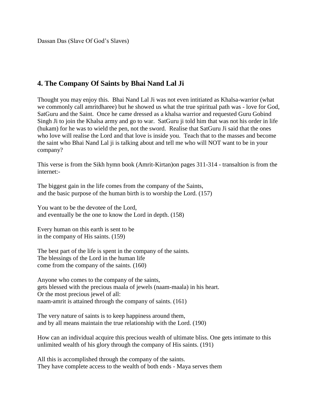Dassan Das (Slave Of God's Slaves)

### <span id="page-18-0"></span>**4. The Company Of Saints by Bhai Nand Lal Ji**

Thought you may enjoy this. Bhai Nand Lal Ji was not even intitiated as Khalsa-warrior (what we commonly call amritdharee) but he showed us what the true spiritual path was - love for God, SatGuru and the Saint. Once he came dressed as a khalsa warrior and requested Guru Gobind Singh Ji to join the Khalsa army and go to war. SatGuru ji told him that was not his order in life (hukam) for he was to wield the pen, not the sword. Realise that SatGuru Ji said that the ones who love will realise the Lord and that love is inside you. Teach that to the masses and become the saint who Bhai Nand Lal ji is talking about and tell me who will NOT want to be in your company?

This verse is from the Sikh hymn book (Amrit-Kirtan)on pages 311-314 - transaltion is from the internet:-

The biggest gain in the life comes from the company of the Saints, and the basic purpose of the human birth is to worship the Lord. (157)

You want to be the devotee of the Lord, and eventually be the one to know the Lord in depth. (158)

Every human on this earth is sent to be in the company of His saints. (159)

The best part of the life is spent in the company of the saints. The blessings of the Lord in the human life come from the company of the saints. (160)

Anyone who comes to the company of the saints, gets blessed with the precious maala of jewels (naam-maala) in his heart. Or the most precious jewel of all: naam-amrit is attained through the company of saints. (161)

The very nature of saints is to keep happiness around them, and by all means maintain the true relationship with the Lord. (190)

How can an individual acquire this precious wealth of ultimate bliss. One gets intimate to this unlimited wealth of his glory through the company of His saints. (191)

All this is accomplished through the company of the saints. They have complete access to the wealth of both ends - Maya serves them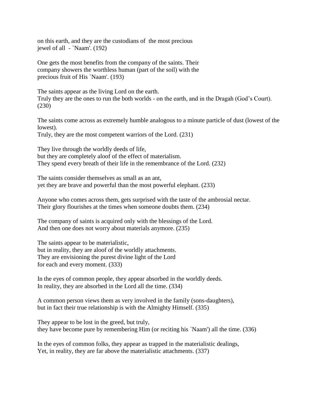on this earth, and they are the custodians of the most precious jewel of all - `Naam'. (192)

One gets the most benefits from the company of the saints. Their company showers the worthless human (part of the soil) with the precious fruit of His `Naam'. (193)

The saints appear as the living Lord on the earth. Truly they are the ones to run the both worlds - on the earth, and in the Dragah (God's Court). (230)

The saints come across as extremely humble analogous to a minute particle of dust (lowest of the lowest).

Truly, they are the most competent warriors of the Lord. (231)

They live through the worldly deeds of life, but they are completely aloof of the effect of materialism. They spend every breath of their life in the remembrance of the Lord. (232)

The saints consider themselves as small as an ant, yet they are brave and powerful than the most powerful elephant. (233)

Anyone who comes across them, gets surprised with the taste of the ambrosial nectar. Their glory flourishes at the times when someone doubts them. (234)

The company of saints is acquired only with the blessings of the Lord. And then one does not worry about materials anymore. (235)

The saints appear to be materialistic, but in reality, they are aloof of the worldly attachments. They are envisioning the purest divine light of the Lord for each and every moment. (333)

In the eyes of common people, they appear absorbed in the worldly deeds. In reality, they are absorbed in the Lord all the time. (334)

A common person views them as very involved in the family (sons-daughters), but in fact their true relationship is with the Almighty Himself. (335)

They appear to be lost in the greed, but truly, they have become pure by remembering Him (or reciting his `Naam') all the time. (336)

In the eyes of common folks, they appear as trapped in the materialistic dealings, Yet, in reality, they are far above the materialistic attachments. (337)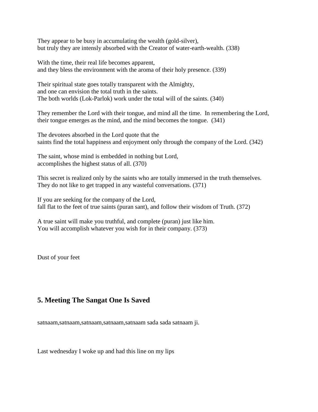They appear to be busy in accumulating the wealth (gold-silver), but truly they are intensly absorbed with the Creator of water-earth-wealth. (338)

With the time, their real life becomes apparent, and they bless the environment with the aroma of their holy presence. (339)

Their spiritual state goes totally transparent with the Almighty, and one can envision the total truth in the saints. The both worlds (Lok-Parlok) work under the total will of the saints. (340)

They remember the Lord with their tongue, and mind all the time. In remembering the Lord, their tongue emerges as the mind, and the mind becomes the tongue. (341)

The devotees absorbed in the Lord quote that the saints find the total happiness and enjoyment only through the company of the Lord. (342)

The saint, whose mind is embedded in nothing but Lord, accomplishes the highest status of all. (370)

This secret is realized only by the saints who are totally immersed in the truth themselves. They do not like to get trapped in any wasteful conversations. (371)

If you are seeking for the company of the Lord, fall flat to the feet of true saints (puran sant), and follow their wisdom of Truth. (372)

A true saint will make you truthful, and complete (puran) just like him. You will accomplish whatever you wish for in their company. (373)

Dust of your feet

## <span id="page-20-0"></span>**5. Meeting The Sangat One Is Saved**

satnaam,satnaam,satnaam,satnaam,satnaam sada sada satnaam ji.

Last wednesday I woke up and had this line on my lips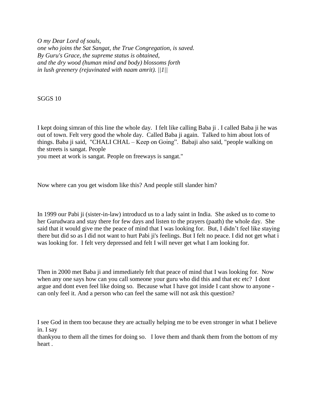*O my Dear Lord of souls, one who joins the Sat Sangat, the True Congregation, is saved. By Guru's Grace, the supreme status is obtained, and the dry wood (human mind and body) blossoms forth in lush greenery (rejuvinated with naam amrit). ||1||*

SGGS 10

I kept doing simran of this line the whole day. I felt like calling Baba ji . I called Baba ji he was out of town. Felt very good the whole day. Called Baba ji again. Talked to him about lots of things. Baba ji said, "CHALI CHAL – Keep on Going". Babaji also said, "people walking on the streets is sangat. People

you meet at work is sangat. People on freeways is sangat."

Now where can you get wisdom like this? And people still slander him?

In 1999 our Pabi ji (sister-in-law) introducd us to a lady saint in India. She asked us to come to her Gurudwara and stay there for few days and listen to the prayers (paath) the whole day. She said that it would give me the peace of mind that I was looking for. But, I didn't feel like staying there but did so as I did not want to hurt Pabi ji's feelings. But I felt no peace. I did not get what i was looking for. I felt very depressed and felt I will never get what I am looking for.

Then in 2000 met Baba ji and immediately felt that peace of mind that I was looking for. Now when any one says how can you call someone your guru who did this and that etc etc? I dont argue and dont even feel like doing so. Because what I have got inside I cant show to anyone can only feel it. And a person who can feel the same will not ask this question?

I see God in them too because they are actually helping me to be even stronger in what I believe in. I say

thankyou to them all the times for doing so. I love them and thank them from the bottom of my heart .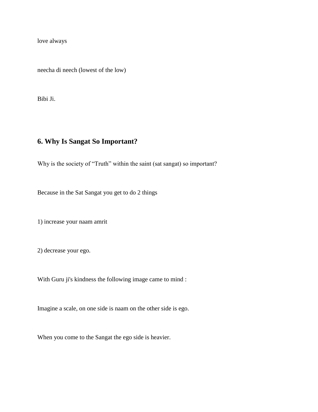love always

neecha di neech (lowest of the low)

Bibi Ji.

# <span id="page-22-0"></span>**6. Why Is Sangat So Important?**

Why is the society of "Truth" within the saint (sat sangat) so important?

Because in the Sat Sangat you get to do 2 things

1) increase your naam amrit

2) decrease your ego.

With Guru ji's kindness the following image came to mind :

Imagine a scale, on one side is naam on the other side is ego.

When you come to the Sangat the ego side is heavier.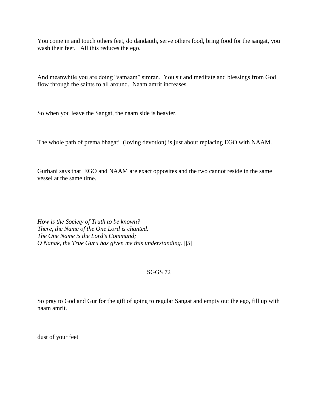You come in and touch others feet, do dandauth, serve others food, bring food for the sangat, you wash their feet. All this reduces the ego.

And meanwhile you are doing "satnaam" simran. You sit and meditate and blessings from God flow through the saints to all around. Naam amrit increases.

So when you leave the Sangat, the naam side is heavier.

The whole path of prema bhagati (loving devotion) is just about replacing EGO with NAAM.

Gurbani says that EGO and NAAM are exact opposites and the two cannot reside in the same vessel at the same time.

*How is the Society of Truth to be known? There, the Name of the One Lord is chanted. The One Name is the Lord's Command; O Nanak, the True Guru has given me this understanding. ||5||*

#### SGGS 72

So pray to God and Gur for the gift of going to regular Sangat and empty out the ego, fill up with naam amrit.

dust of your feet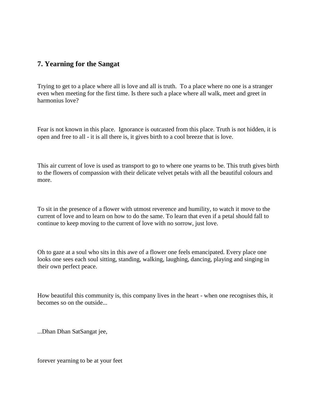#### <span id="page-24-0"></span>**7. Yearning for the Sangat**

Trying to get to a place where all is love and all is truth. To a place where no one is a stranger even when meeting for the first time. Is there such a place where all walk, meet and greet in harmonius love?

Fear is not known in this place. Ignorance is outcasted from this place. Truth is not hidden, it is open and free to all - it is all there is, it gives birth to a cool breeze that is love.

This air current of love is used as transport to go to where one yearns to be. This truth gives birth to the flowers of compassion with their delicate velvet petals with all the beautiful colours and more.

To sit in the presence of a flower with utmost reverence and humility, to watch it move to the current of love and to learn on how to do the same. To learn that even if a petal should fall to continue to keep moving to the current of love with no sorrow, just love.

Oh to gaze at a soul who sits in this awe of a flower one feels emancipated. Every place one looks one sees each soul sitting, standing, walking, laughing, dancing, playing and singing in their own perfect peace.

How beautiful this community is, this company lives in the heart - when one recognises this, it becomes so on the outside...

...Dhan Dhan SatSangat jee,

forever yearning to be at your feet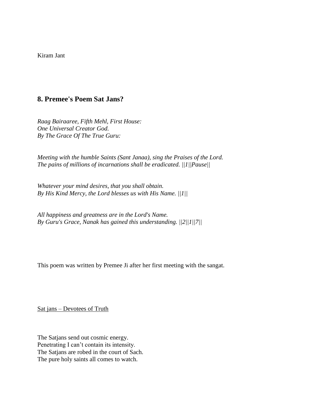Kiram Jant

#### <span id="page-25-0"></span>**8. Premee's Poem Sat Jans?**

*Raag Bairaaree, Fifth Mehl, First House: One Universal Creator God. By The Grace Of The True Guru:*

*Meeting with the humble Saints (Sant Janaa), sing the Praises of the Lord. The pains of millions of incarnations shall be eradicated. ||1||Pause||*

*Whatever your mind desires, that you shall obtain. By His Kind Mercy, the Lord blesses us with His Name. ||1||*

*All happiness and greatness are in the Lord's Name. By Guru's Grace, Nanak has gained this understanding. ||2||1||7||*

This poem was written by Premee Ji after her first meeting with the sangat.

Sat jans – Devotees of Truth

The Satjans send out cosmic energy. Penetrating I can't contain its intensity. The Satjans are robed in the court of Sach. The pure holy saints all comes to watch.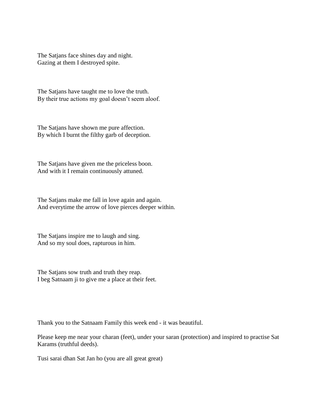The Satjans face shines day and night. Gazing at them I destroyed spite.

The Satjans have taught me to love the truth. By their true actions my goal doesn't seem aloof.

The Satjans have shown me pure affection. By which I burnt the filthy garb of deception.

The Satjans have given me the priceless boon. And with it I remain continuously attuned.

The Satjans make me fall in love again and again. And everytime the arrow of love pierces deeper within.

The Satjans inspire me to laugh and sing. And so my soul does, rapturous in him.

The Satjans sow truth and truth they reap. I beg Satnaam ji to give me a place at their feet.

Thank you to the Satnaam Family this week end - it was beautiful.

Please keep me near your charan (feet), under your saran (protection) and inspired to practise Sat Karams (truthful deeds).

Tusi sarai dhan Sat Jan ho (you are all great great)